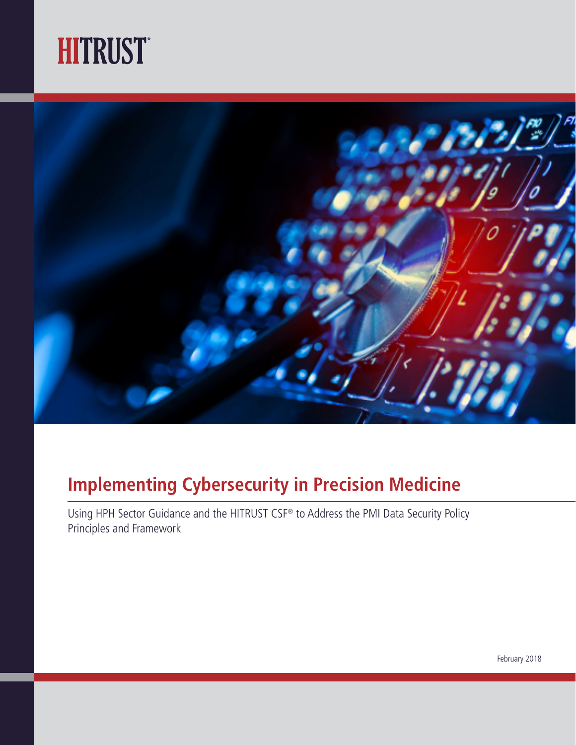



## **Implementing Cybersecurity in Precision Medicine**

Using HPH Sector Guidance and the HITRUST CSF® to Address the PMI Data Security Policy Principles and Framework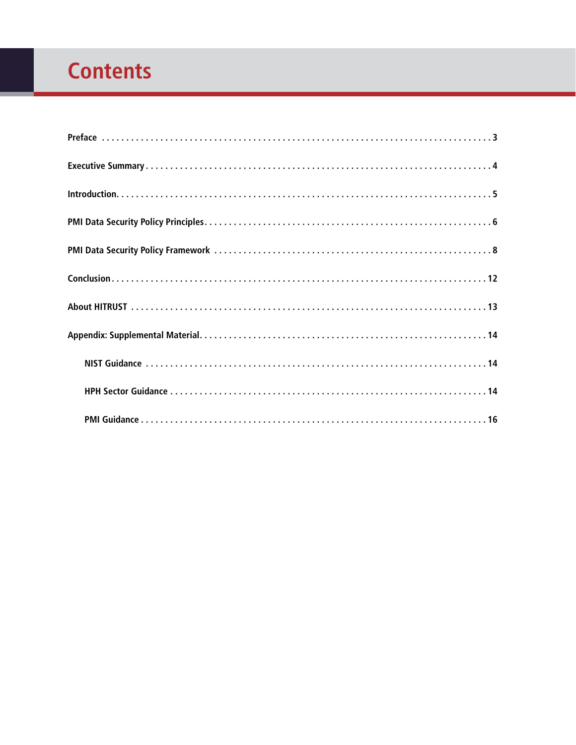# <span id="page-1-0"></span>**Contents**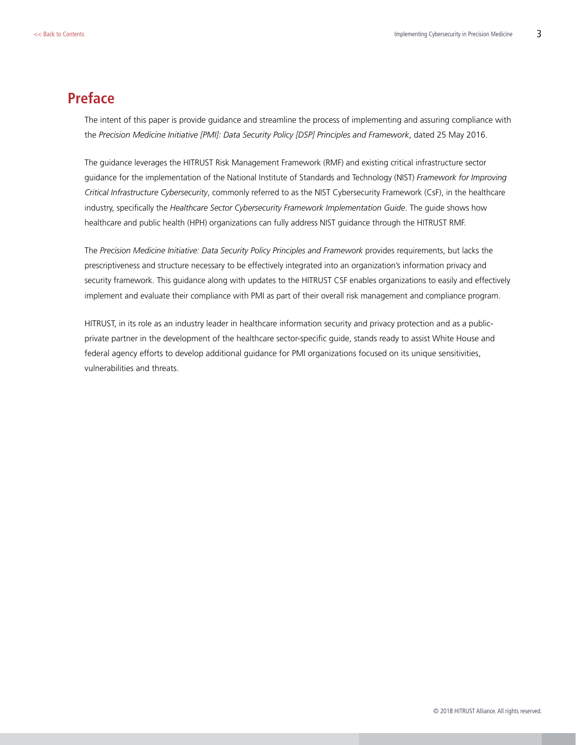### <span id="page-2-0"></span>**Preface**

The intent of this paper is provide guidance and streamline the process of implementing and assuring compliance with the *Precision Medicine Initiative [PMI]: Data Security Policy [DSP] Principles and Framework*, dated 25 May 2016.

The guidance leverages the HITRUST Risk Management Framework (RMF) and existing critical infrastructure sector guidance for the implementation of the National Institute of Standards and Technology (NIST) *Framework for Improving Critical Infrastructure Cybersecurity*, commonly referred to as the NIST Cybersecurity Framework (CsF), in the healthcare industry, specifically the *Healthcare Sector Cybersecurity Framework Implementation Guide*. The guide shows how healthcare and public health (HPH) organizations can fully address NIST guidance through the HITRUST RMF.

The *Precision Medicine Initiative: Data Security Policy Principles and Framework* provides requirements, but lacks the prescriptiveness and structure necessary to be effectively integrated into an organization's information privacy and security framework. This guidance along with updates to the HITRUST CSF enables organizations to easily and effectively implement and evaluate their compliance with PMI as part of their overall risk management and compliance program.

HITRUST, in its role as an industry leader in healthcare information security and privacy protection and as a publicprivate partner in the development of the healthcare sector-specific guide, stands ready to assist White House and federal agency efforts to develop additional guidance for PMI organizations focused on its unique sensitivities, vulnerabilities and threats.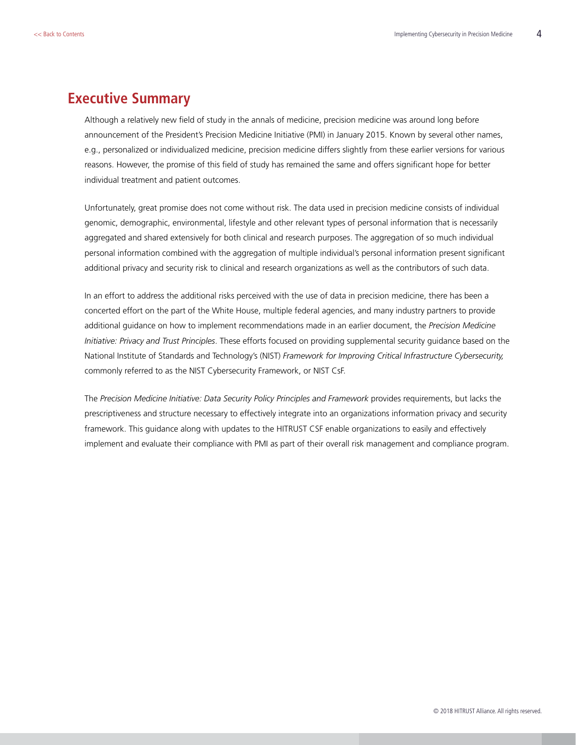#### <span id="page-3-0"></span>**Executive Summary**

Although a relatively new field of study in the annals of medicine, precision medicine was around long before announcement of the President's Precision Medicine Initiative (PMI) in January 2015. Known by several other names, e.g., personalized or individualized medicine, precision medicine differs slightly from these earlier versions for various reasons. However, the promise of this field of study has remained the same and offers significant hope for better individual treatment and patient outcomes.

Unfortunately, great promise does not come without risk. The data used in precision medicine consists of individual genomic, demographic, environmental, lifestyle and other relevant types of personal information that is necessarily aggregated and shared extensively for both clinical and research purposes. The aggregation of so much individual personal information combined with the aggregation of multiple individual's personal information present significant additional privacy and security risk to clinical and research organizations as well as the contributors of such data.

In an effort to address the additional risks perceived with the use of data in precision medicine, there has been a concerted effort on the part of the White House, multiple federal agencies, and many industry partners to provide additional guidance on how to implement recommendations made in an earlier document, the *Precision Medicine Initiative: Privacy and Trust Principles*. These efforts focused on providing supplemental security guidance based on the National Institute of Standards and Technology's (NIST) *Framework for Improving Critical Infrastructure Cybersecurity,* commonly referred to as the NIST Cybersecurity Framework, or NIST CsF.

The *Precision Medicine Initiative: Data Security Policy Principles and Framework* provides requirements, but lacks the prescriptiveness and structure necessary to effectively integrate into an organizations information privacy and security framework. This guidance along with updates to the HITRUST CSF enable organizations to easily and effectively implement and evaluate their compliance with PMI as part of their overall risk management and compliance program.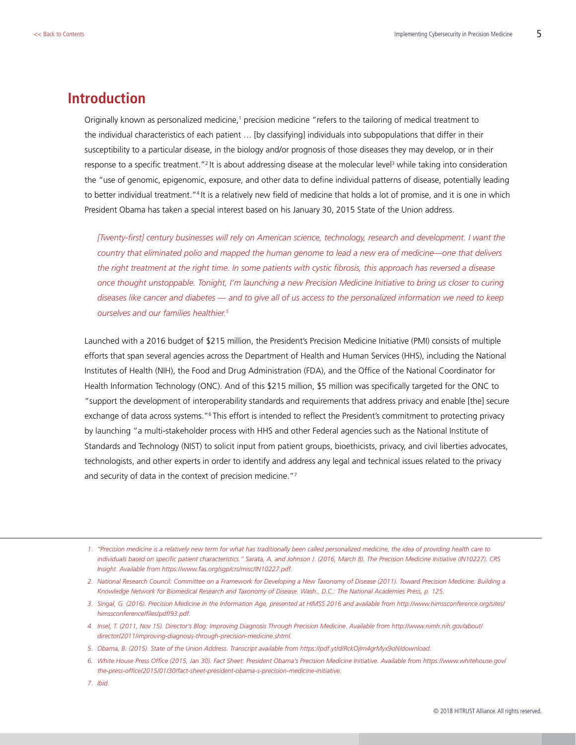#### <span id="page-4-0"></span>**Introduction**

Originally known as personalized medicine,<sup>1</sup> precision medicine "refers to the tailoring of medical treatment to the individual characteristics of each patient … [by classifying] individuals into subpopulations that differ in their susceptibility to a particular disease, in the biology and/or prognosis of those diseases they may develop, or in their response to a specific treatment."<sup>2</sup> It is about addressing disease at the molecular level<sup>3</sup> while taking into consideration the "use of genomic, epigenomic, exposure, and other data to define individual patterns of disease, potentially leading to better individual treatment."4 It is a relatively new field of medicine that holds a lot of promise, and it is one in which President Obama has taken a special interest based on his January 30, 2015 State of the Union address.

*[Twenty-first] century businesses will rely on American science, technology, research and development. I want the country that eliminated polio and mapped the human genome to lead a new era of medicine—one that delivers the right treatment at the right time. In some patients with cystic fibrosis, this approach has reversed a disease once thought unstoppable. Tonight, I'm launching a new Precision Medicine Initiative to bring us closer to curing diseases like cancer and diabetes — and to give all of us access to the personalized information we need to keep ourselves and our families healthier.5*

Launched with a 2016 budget of \$215 million, the President's Precision Medicine Initiative (PMI) consists of multiple efforts that span several agencies across the Department of Health and Human Services (HHS), including the National Institutes of Health (NIH), the Food and Drug Administration (FDA), and the Office of the National Coordinator for Health Information Technology (ONC). And of this \$215 million, \$5 million was specifically targeted for the ONC to "support the development of interoperability standards and requirements that address privacy and enable [the] secure exchange of data across systems."6 This effort is intended to reflect the President's commitment to protecting privacy by launching "a multi-stakeholder process with HHS and other Federal agencies such as the National Institute of Standards and Technology (NIST) to solicit input from patient groups, bioethicists, privacy, and civil liberties advocates, technologists, and other experts in order to identify and address any legal and technical issues related to the privacy and security of data in the context of precision medicine."7

- *3. Singal, G. (2016). Precision Medicine in the Information Age, presented at HIMSS 2016 and available from [http://www.himssconference.org/sites/](http://www.himssconference.org/sites/himssconference/files/pdf/93.pdf) [himssconference/files/pdf/93.pdf.](http://www.himssconference.org/sites/himssconference/files/pdf/93.pdf)*
- *4. Insel, T. (2011, Nov 15). Director's Blog: Improving Diagnosis Through Precision Medicine. Available from [http://www.nimh.nih.gov/about/](http://www.nimh.nih.gov/about/director/2011/improving-diagnosis-through-precision-medicine.shtml) [director/2011/improving-diagnosis-through-precision-medicine.shtml](http://www.nimh.nih.gov/about/director/2011/improving-diagnosis-through-precision-medicine.shtml).*
- *5. Obama, B. (2015). State of the Union Address. Transcript available from [https://pdf.yt/d/RckOjIm4grMyx9oN/download.](https://pdf.yt/d/RckOjIm4grMyx9oN/download)*
- *6. White House Press Office (2015, Jan 30). Fact Sheet: President Obama's Precision Medicine Initiative. Available from [https://www.whitehouse.gov/](https://www.whitehouse.gov/the-press-office/2015/01/30/fact-sheet-president-obama-s-precision-medicine-initiative) [the-press-office/2015/01/30/fact-sheet-president-obama-s-precision-medicine-initiative](https://www.whitehouse.gov/the-press-office/2015/01/30/fact-sheet-president-obama-s-precision-medicine-initiative).*
- *7. Ibid.*

*<sup>1.</sup> "Precision medicine is a relatively new term for what has traditionally been called personalized medicine, the idea of providing health care to individuals based on specific patient characteristics." Sarata, A. and Johnson J. (2016, March 8). The Precision Medicine Initiative (IN10227). CRS Insight. Available from<https://www.fas.org/sgp/crs/misc/IN10227.pdf>.* 

*<sup>2.</sup> National Research Council: Committee on a Framework for Developing a New Taxonomy of Disease (2011). Toward Precision Medicine: Building a Knowledge Network for Biomedical Research and Taxonomy of Disease. Wash., D.C.: The National Academies Press, p. 125.*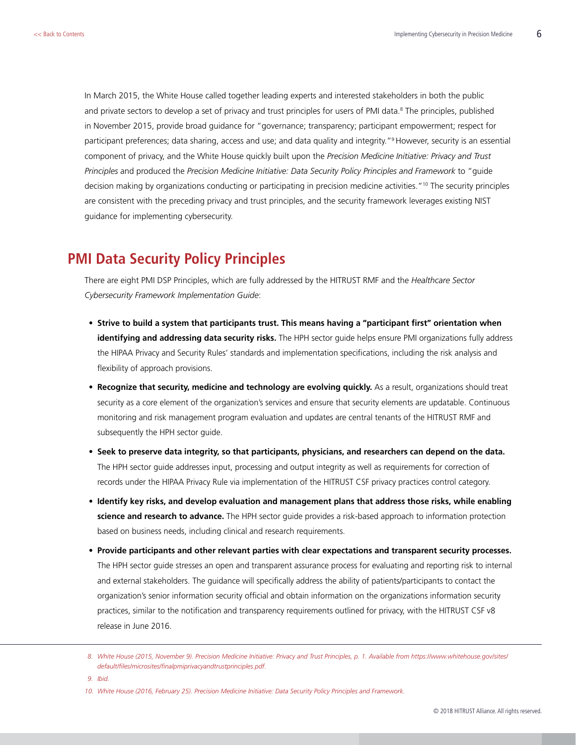<span id="page-5-0"></span>In March 2015, the White House called together leading experts and interested stakeholders in both the public and private sectors to develop a set of privacy and trust principles for users of PMI data.<sup>8</sup> The principles, published in November 2015, provide broad guidance for "governance; transparency; participant empowerment; respect for participant preferences; data sharing, access and use; and data quality and integrity."9 However, security is an essential component of privacy, and the White House quickly built upon the *Precision Medicine Initiative: Privacy and Trust Principles* and produced the *Precision Medicine Initiative: Data Security Policy Principles and Framework* to "guide decision making by organizations conducting or participating in precision medicine activities."10 The security principles are consistent with the preceding privacy and trust principles, and the security framework leverages existing NIST guidance for implementing cybersecurity.

## **PMI Data Security Policy Principles**

There are eight PMI DSP Principles, which are fully addressed by the HITRUST RMF and the *Healthcare Sector Cybersecurity Framework Implementation Guide*:

- **• Strive to build a system that participants trust. This means having a "participant first" orientation when identifying and addressing data security risks.** The HPH sector guide helps ensure PMI organizations fully address the HIPAA Privacy and Security Rules' standards and implementation specifications, including the risk analysis and flexibility of approach provisions.
- **• Recognize that security, medicine and technology are evolving quickly.** As a result, organizations should treat security as a core element of the organization's services and ensure that security elements are updatable. Continuous monitoring and risk management program evaluation and updates are central tenants of the HITRUST RMF and subsequently the HPH sector guide.
- **• Seek to preserve data integrity, so that participants, physicians, and researchers can depend on the data.** The HPH sector guide addresses input, processing and output integrity as well as requirements for correction of records under the HIPAA Privacy Rule via implementation of the HITRUST CSF privacy practices control category.
- **• Identify key risks, and develop evaluation and management plans that address those risks, while enabling science and research to advance.** The HPH sector guide provides a risk-based approach to information protection based on business needs, including clinical and research requirements.
- **• Provide participants and other relevant parties with clear expectations and transparent security processes.** The HPH sector guide stresses an open and transparent assurance process for evaluating and reporting risk to internal and external stakeholders. The guidance will specifically address the ability of patients/participants to contact the organization's senior information security official and obtain information on the organizations information security practices, similar to the notification and transparency requirements outlined for privacy, with the HITRUST CSF v8 release in June 2016.

*<sup>8.</sup> White House (2015, November 9). Precision Medicine Initiative: Privacy and Trust Principles, p. 1. Available from [https://www.whitehouse.gov/sites/](https://www.whitehouse.gov/sites/default/files/microsites/finalpmiprivacyandtrustprinciples.pdf) [default/files/microsites/finalpmiprivacyandtrustprinciples.pdf](https://www.whitehouse.gov/sites/default/files/microsites/finalpmiprivacyandtrustprinciples.pdf).* 

*<sup>9.</sup> Ibid.*

*<sup>10.</sup> White House (2016, February 25). Precision Medicine Initiative: Data Security Policy Principles and Framework.*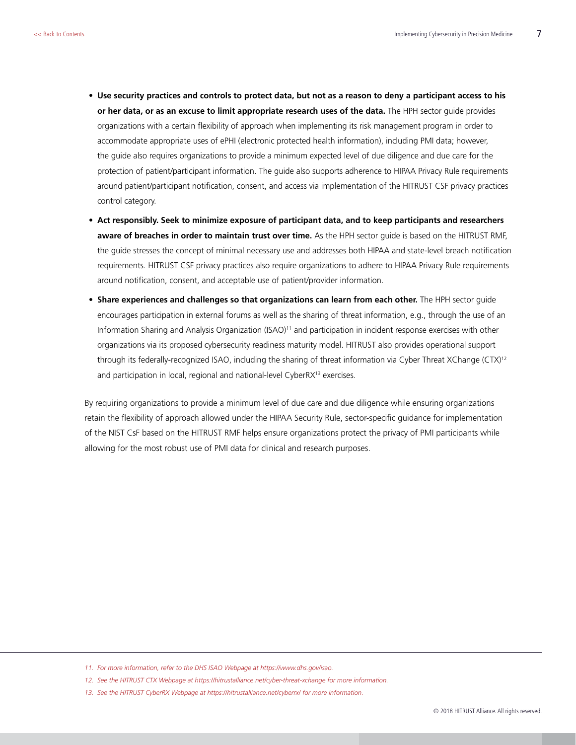- **• Use security practices and controls to protect data, but not as a reason to deny a participant access to his or her data, or as an excuse to limit appropriate research uses of the data.** The HPH sector guide provides organizations with a certain flexibility of approach when implementing its risk management program in order to accommodate appropriate uses of ePHI (electronic protected health information), including PMI data; however, the guide also requires organizations to provide a minimum expected level of due diligence and due care for the protection of patient/participant information. The guide also supports adherence to HIPAA Privacy Rule requirements around patient/participant notification, consent, and access via implementation of the HITRUST CSF privacy practices control category.
- **• Act responsibly. Seek to minimize exposure of participant data, and to keep participants and researchers aware of breaches in order to maintain trust over time.** As the HPH sector guide is based on the HITRUST RMF, the guide stresses the concept of minimal necessary use and addresses both HIPAA and state-level breach notification requirements. HITRUST CSF privacy practices also require organizations to adhere to HIPAA Privacy Rule requirements around notification, consent, and acceptable use of patient/provider information.
- **• Share experiences and challenges so that organizations can learn from each other.** The HPH sector guide encourages participation in external forums as well as the sharing of threat information, e.g., through the use of an Information Sharing and Analysis Organization (ISAO)<sup>11</sup> and participation in incident response exercises with other organizations via its proposed cybersecurity readiness maturity model. HITRUST also provides operational support through its federally-recognized ISAO, including the sharing of threat information via Cyber Threat XChange (CTX)<sup>12</sup> and participation in local, regional and national-level CyberRX<sup>13</sup> exercises.

By requiring organizations to provide a minimum level of due care and due diligence while ensuring organizations retain the flexibility of approach allowed under the HIPAA Security Rule, sector-specific guidance for implementation of the NIST CsF based on the HITRUST RMF helps ensure organizations protect the privacy of PMI participants while allowing for the most robust use of PMI data for clinical and research purposes.

<sup>11.</sup> For more information, refer to the DHS ISAO Webpage at [https://www.dhs.gov/isao.](https://www.dhs.gov/isao)

*<sup>12.</sup> See the HITRUST CTX Webpage at<https://hitrustalliance.net/cyber-threat-xchange> for more information.*

*<sup>13.</sup> See the HITRUST CyberRX Webpage at<https://hitrustalliance.net/cyberrx/>for more information.*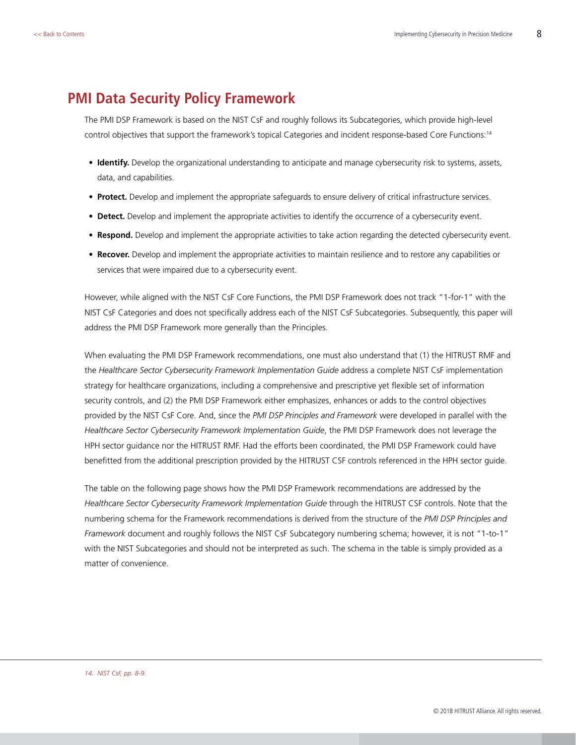#### <span id="page-7-0"></span>**PMI Data Security Policy Framework**

The PMI DSP Framework is based on the NIST CsF and roughly follows its Subcategories, which provide high-level control objectives that support the framework's topical Categories and incident response-based Core Functions:14

- **• Identify.** Develop the organizational understanding to anticipate and manage cybersecurity risk to systems, assets, data, and capabilities.
- **• Protect.** Develop and implement the appropriate safeguards to ensure delivery of critical infrastructure services.
- **• Detect.** Develop and implement the appropriate activities to identify the occurrence of a cybersecurity event.
- **• Respond.** Develop and implement the appropriate activities to take action regarding the detected cybersecurity event.
- **• Recover.** Develop and implement the appropriate activities to maintain resilience and to restore any capabilities or services that were impaired due to a cybersecurity event.

However, while aligned with the NIST CsF Core Functions, the PMI DSP Framework does not track "1-for-1" with the NIST CsF Categories and does not specifically address each of the NIST CsF Subcategories. Subsequently, this paper will address the PMI DSP Framework more generally than the Principles.

When evaluating the PMI DSP Framework recommendations, one must also understand that (1) the HITRUST RMF and the *Healthcare Sector Cybersecurity Framework Implementation Guide* address a complete NIST CsF implementation strategy for healthcare organizations, including a comprehensive and prescriptive yet flexible set of information security controls, and (2) the PMI DSP Framework either emphasizes, enhances or adds to the control objectives provided by the NIST CsF Core. And, since the *PMI DSP Principles and Framework* were developed in parallel with the *Healthcare Sector Cybersecurity Framework Implementation Guide*, the PMI DSP Framework does not leverage the HPH sector guidance nor the HITRUST RMF. Had the efforts been coordinated, the PMI DSP Framework could have benefitted from the additional prescription provided by the HITRUST CSF controls referenced in the HPH sector guide.

The table on the following page shows how the PMI DSP Framework recommendations are addressed by the *Healthcare Sector Cybersecurity Framework Implementation Guide* through the HITRUST CSF controls. Note that the numbering schema for the Framework recommendations is derived from the structure of the *PMI DSP Principles and Framework* document and roughly follows the NIST CsF Subcategory numbering schema; however, it is not "1-to-1" with the NIST Subcategories and should not be interpreted as such. The schema in the table is simply provided as a matter of convenience.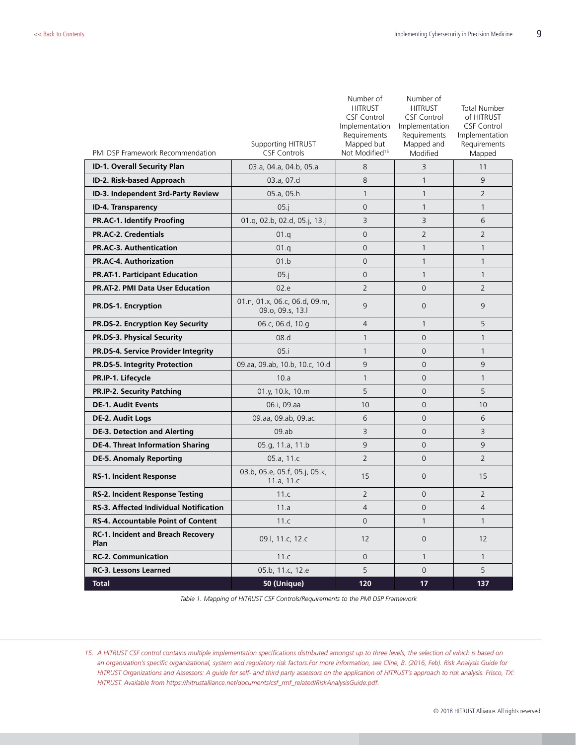|                                               | <b>Supporting HITRUST</b>                         | Number of<br><b>HITRUST</b><br><b>CSF Control</b><br>Implementation<br>Requirements<br>Mapped but | Number of<br><b>HITRUST</b><br><b>CSF Control</b><br>Implementation<br>Requirements<br>Mapped and | <b>Total Number</b><br>of HITRUST<br><b>CSF Control</b><br>Implementation<br>Requirements |
|-----------------------------------------------|---------------------------------------------------|---------------------------------------------------------------------------------------------------|---------------------------------------------------------------------------------------------------|-------------------------------------------------------------------------------------------|
| PMI DSP Framework Recommendation              | <b>CSF Controls</b>                               | Not Modified <sup>15</sup>                                                                        | Modified                                                                                          | Mapped                                                                                    |
| ID-1. Overall Security Plan                   | 03.a, 04.a, 04.b, 05.a                            | 8                                                                                                 | 3                                                                                                 | 11                                                                                        |
| ID-2. Risk-based Approach                     | 03.a, 07.d                                        | 8                                                                                                 | $\mathbf{1}$                                                                                      | 9                                                                                         |
| ID-3. Independent 3rd-Party Review            | 05.a, 05.h                                        | $\mathbf{1}$                                                                                      | $\mathbf{1}$                                                                                      | $\overline{2}$                                                                            |
| ID-4. Transparency                            | 05.i                                              | 0                                                                                                 | $\mathbf{1}$                                                                                      | $\mathbf{1}$                                                                              |
| PR.AC-1. Identify Proofing                    | 01.q, 02.b, 02.d, 05.j, 13.j                      | 3                                                                                                 | 3                                                                                                 | 6                                                                                         |
| <b>PR.AC-2. Credentials</b>                   | 01.q                                              | 0                                                                                                 | $\overline{2}$                                                                                    | $\overline{2}$                                                                            |
| <b>PR.AC-3. Authentication</b>                | 01.q                                              | 0                                                                                                 | $\mathbf{1}$                                                                                      | $\mathbf{1}$                                                                              |
| <b>PR.AC-4. Authorization</b>                 | 01.b                                              | 0                                                                                                 | $\mathbf{1}$                                                                                      | $\mathbf{1}$                                                                              |
| <b>PR.AT-1. Participant Education</b>         | $05.$ j                                           | 0                                                                                                 | $\mathbf{1}$                                                                                      | $\mathbf{1}$                                                                              |
| <b>PR.AT-2. PMI Data User Education</b>       | 02.e                                              | $\overline{2}$                                                                                    | $\overline{0}$                                                                                    | $\overline{2}$                                                                            |
| <b>PR.DS-1. Encryption</b>                    | 01.n, 01.x, 06.c, 06.d, 09.m,<br>09.o, 09.s, 13.l | 9                                                                                                 | $\overline{0}$                                                                                    | 9                                                                                         |
| PR.DS-2. Encryption Key Security              | 06.c, 06.d, 10.g                                  | $\overline{4}$                                                                                    | $\mathbf{1}$                                                                                      | 5                                                                                         |
| PR.DS-3. Physical Security                    | 08.d                                              | $\mathbf{1}$                                                                                      | 0                                                                                                 | $\mathbf{1}$                                                                              |
| PR.DS-4. Service Provider Integrity           | 05.i                                              | 1                                                                                                 | 0                                                                                                 | $\mathbf{1}$                                                                              |
| PR.DS-5. Integrity Protection                 | 09.aa, 09.ab, 10.b, 10.c, 10.d                    | 9                                                                                                 | $\overline{0}$                                                                                    | 9                                                                                         |
| PR.IP-1. Lifecycle                            | 10.a                                              | $\mathbf{1}$                                                                                      | $\overline{0}$                                                                                    | $\mathbf{1}$                                                                              |
| <b>PR.IP-2. Security Patching</b>             | 01.y, 10.k, 10.m                                  | 5                                                                                                 | $\overline{0}$                                                                                    | 5                                                                                         |
| <b>DE-1. Audit Events</b>                     | 06.i, 09.aa                                       | 10                                                                                                | $\overline{0}$                                                                                    | 10                                                                                        |
| DE-2. Audit Logs                              | 09.aa, 09.ab, 09.ac                               | 6                                                                                                 | $\Omega$                                                                                          | 6                                                                                         |
| <b>DE-3. Detection and Alerting</b>           | $09$ .ab                                          | 3                                                                                                 | $\overline{0}$                                                                                    | 3                                                                                         |
| <b>DE-4. Threat Information Sharing</b>       | 05.g, 11.a, 11.b                                  | 9                                                                                                 | $\Omega$                                                                                          | 9                                                                                         |
| <b>DE-5. Anomaly Reporting</b>                | 05.a, 11.c                                        | $\overline{2}$                                                                                    | $\overline{0}$                                                                                    | $\overline{2}$                                                                            |
| <b>RS-1. Incident Response</b>                | 03.b, 05.e, 05.f, 05.j, 05.k,<br>11.a, $11.c$     | 15                                                                                                | $\overline{0}$                                                                                    | 15                                                                                        |
| <b>RS-2. Incident Response Testing</b>        | 11.c                                              | $\overline{2}$                                                                                    | $\overline{0}$                                                                                    | $\overline{2}$                                                                            |
| <b>RS-3. Affected Individual Notification</b> | 11.a                                              | $\overline{4}$                                                                                    | $\mathsf 0$                                                                                       | $\overline{4}$                                                                            |
| RS-4. Accountable Point of Content            | 11.c                                              | 0                                                                                                 | 1                                                                                                 | $\mathbf{1}$                                                                              |
| RC-1. Incident and Breach Recovery<br>Plan    | 09.l, 11.c, 12.c                                  | 12                                                                                                | 0                                                                                                 | 12                                                                                        |
| <b>RC-2. Communication</b>                    | 11.c                                              | $\mathsf{O}\xspace$                                                                               | $\mathbf{1}$                                                                                      | $\mathbf{1}$                                                                              |
| <b>RC-3. Lessons Learned</b>                  | 05.b, 11.c, 12.e                                  | 5                                                                                                 | $\mathsf{O}$                                                                                      | 5                                                                                         |
| <b>Total</b>                                  | 50 (Unique)                                       | 120                                                                                               | 17                                                                                                | 137                                                                                       |

*Table 1. Mapping of HITRUST CSF Controls/Requirements to the PMI DSP Framework*

*<sup>15.</sup> A HITRUST CSF control contains multiple implementation specifications distributed amongst up to three levels, the selection of which is based on an organization's specific organizational, system and regulatory risk factors.For more information, see Cline, B. (2016, Feb). Risk Analysis Guide for HITRUST Organizations and Assessors: A guide for self- and third party assessors on the application of HITRUST's approach to risk analysis. Frisco, TX: HITRUST. Available from [https://hitrustalliance.net/documents/csf\\_rmf\\_related/RiskAnalysisGuide.pdf](https://hitrustalliance.net/documents/csf_rmf_related/RiskAnalysisGuide.pdf).*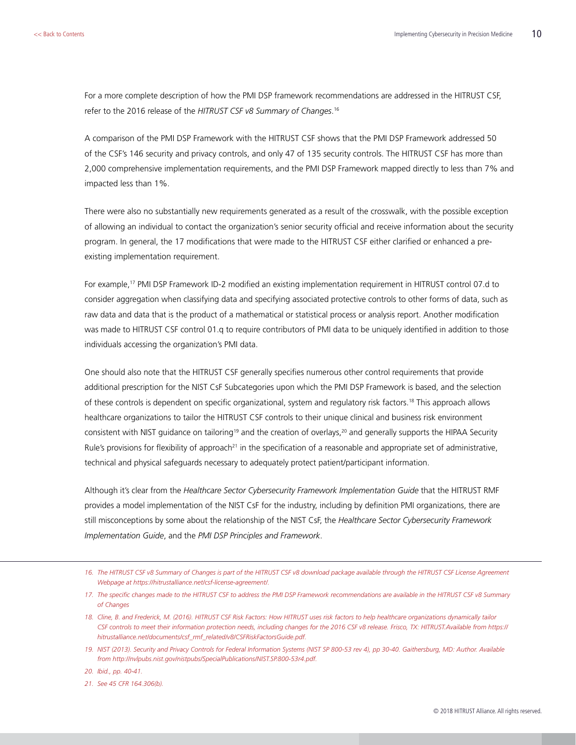For a more complete description of how the PMI DSP framework recommendations are addressed in the HITRUST CSF, refer to the 2016 release of the *HITRUST CSF v8 Summary of Changes*. 16

A comparison of the PMI DSP Framework with the HITRUST CSF shows that the PMI DSP Framework addressed 50 of the CSF's 146 security and privacy controls, and only 47 of 135 security controls. The HITRUST CSF has more than 2,000 comprehensive implementation requirements, and the PMI DSP Framework mapped directly to less than 7% and impacted less than 1%.

There were also no substantially new requirements generated as a result of the crosswalk, with the possible exception of allowing an individual to contact the organization's senior security official and receive information about the security program. In general, the 17 modifications that were made to the HITRUST CSF either clarified or enhanced a preexisting implementation requirement.

For example,17 PMI DSP Framework ID-2 modified an existing implementation requirement in HITRUST control 07.d to consider aggregation when classifying data and specifying associated protective controls to other forms of data, such as raw data and data that is the product of a mathematical or statistical process or analysis report. Another modification was made to HITRUST CSF control 01.q to require contributors of PMI data to be uniquely identified in addition to those individuals accessing the organization's PMI data.

One should also note that the HITRUST CSF generally specifies numerous other control requirements that provide additional prescription for the NIST CsF Subcategories upon which the PMI DSP Framework is based, and the selection of these controls is dependent on specific organizational, system and regulatory risk factors.18 This approach allows healthcare organizations to tailor the HITRUST CSF controls to their unique clinical and business risk environment consistent with NIST guidance on tailoring<sup>19</sup> and the creation of overlays,<sup>20</sup> and generally supports the HIPAA Security Rule's provisions for flexibility of approach<sup>21</sup> in the specification of a reasonable and appropriate set of administrative, technical and physical safeguards necessary to adequately protect patient/participant information.

Although it's clear from the *Healthcare Sector Cybersecurity Framework Implementation Guide* that the HITRUST RMF provides a model implementation of the NIST CsF for the industry, including by definition PMI organizations, there are still misconceptions by some about the relationship of the NIST CsF, the *Healthcare Sector Cybersecurity Framework Implementation Guide*, and the *PMI DSP Principles and Framework*.

*20. Ibid., pp. 40-41.*

*21. See 45 CFR 164.306(b).*

*<sup>16.</sup> The HITRUST CSF v8 Summary of Changes is part of the HITRUST CSF v8 download package available through the HITRUST CSF License Agreement Webpage at [https://hitrustalliance.net/csf-license-agreement/.](https://hitrustalliance.net/csf-license-agreement/)*

*<sup>17.</sup> The specific changes made to the HITRUST CSF to address the PMI DSP Framework recommendations are available in the HITRUST CSF v8 Summary of Changes*

*<sup>18.</sup> Cline, B. and Frederick, M. (2016). HITRUST CSF Risk Factors: How HITRUST uses risk factors to help healthcare organizations dynamically tailor CSF controls to meet their information protection needs, including changes for the 2016 CSF v8 release. Frisco, TX: HITRUST.Available from [https://](https://hitrustalliance.net/documents/csf_rmf_related/v8/CSFRiskFactorsGuide.pdf) [hitrustalliance.net/documents/csf\\_rmf\\_related/v8/CSFRiskFactorsGuide.pdf.](https://hitrustalliance.net/documents/csf_rmf_related/v8/CSFRiskFactorsGuide.pdf)* 

*<sup>19.</sup> NIST (2013). Security and Privacy Controls for Federal Information Systems (NIST SP 800-53 rev 4), pp 30-40. Gaithersburg, MD: Author. Available from <http://nvlpubs.nist.gov/nistpubs/SpecialPublications/NIST.SP.800-53r4.pdf>.*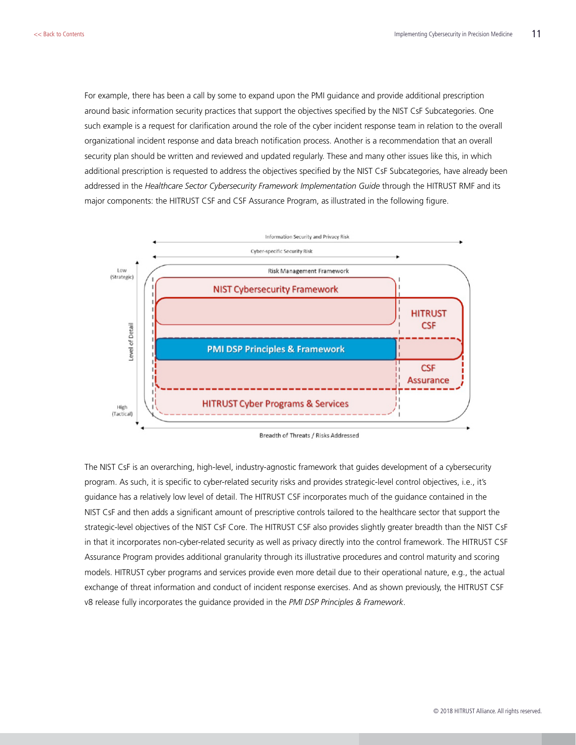For example, there has been a call by some to expand upon the PMI guidance and provide additional prescription around basic information security practices that support the objectives specified by the NIST CsF Subcategories. One such example is a request for clarification around the role of the cyber incident response team in relation to the overall organizational incident response and data breach notification process. Another is a recommendation that an overall security plan should be written and reviewed and updated regularly. These and many other issues like this, in which additional prescription is requested to address the objectives specified by the NIST CsF Subcategories, have already been addressed in the *Healthcare Sector Cybersecurity Framework Implementation Guide* through the HITRUST RMF and its major components: the HITRUST CSF and CSF Assurance Program, as illustrated in the following figure.



Breadth of Threats / Risks Addressed

The NIST CsF is an overarching, high-level, industry-agnostic framework that guides development of a cybersecurity program. As such, it is specific to cyber-related security risks and provides strategic-level control objectives, i.e., it's guidance has a relatively low level of detail. The HITRUST CSF incorporates much of the guidance contained in the NIST CsF and then adds a significant amount of prescriptive controls tailored to the healthcare sector that support the strategic-level objectives of the NIST CsF Core. The HITRUST CSF also provides slightly greater breadth than the NIST CsF in that it incorporates non-cyber-related security as well as privacy directly into the control framework. The HITRUST CSF Assurance Program provides additional granularity through its illustrative procedures and control maturity and scoring models. HITRUST cyber programs and services provide even more detail due to their operational nature, e.g., the actual exchange of threat information and conduct of incident response exercises. And as shown previously, the HITRUST CSF v8 release fully incorporates the guidance provided in the *PMI DSP Principles & Framework*.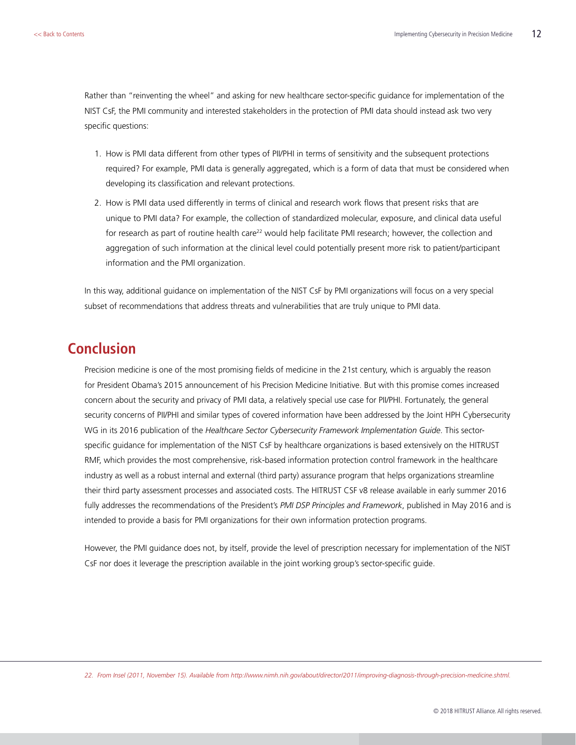<span id="page-11-0"></span>Rather than "reinventing the wheel" and asking for new healthcare sector-specific guidance for implementation of the NIST CsF, the PMI community and interested stakeholders in the protection of PMI data should instead ask two very specific questions:

- 1. How is PMI data different from other types of PII/PHI in terms of sensitivity and the subsequent protections required? For example, PMI data is generally aggregated, which is a form of data that must be considered when developing its classification and relevant protections.
- 2. How is PMI data used differently in terms of clinical and research work flows that present risks that are unique to PMI data? For example, the collection of standardized molecular, exposure, and clinical data useful for research as part of routine health care<sup>22</sup> would help facilitate PMI research; however, the collection and aggregation of such information at the clinical level could potentially present more risk to patient/participant information and the PMI organization.

In this way, additional guidance on implementation of the NIST CsF by PMI organizations will focus on a very special subset of recommendations that address threats and vulnerabilities that are truly unique to PMI data.

## **Conclusion**

Precision medicine is one of the most promising fields of medicine in the 21st century, which is arguably the reason for President Obama's 2015 announcement of his Precision Medicine Initiative. But with this promise comes increased concern about the security and privacy of PMI data, a relatively special use case for PII/PHI. Fortunately, the general security concerns of PII/PHI and similar types of covered information have been addressed by the Joint HPH Cybersecurity WG in its 2016 publication of the *Healthcare Sector Cybersecurity Framework Implementation Guide*. This sectorspecific guidance for implementation of the NIST CsF by healthcare organizations is based extensively on the HITRUST RMF, which provides the most comprehensive, risk-based information protection control framework in the healthcare industry as well as a robust internal and external (third party) assurance program that helps organizations streamline their third party assessment processes and associated costs. The HITRUST CSF v8 release available in early summer 2016 fully addresses the recommendations of the President's *PMI DSP Principles and Framework*, published in May 2016 and is intended to provide a basis for PMI organizations for their own information protection programs.

However, the PMI guidance does not, by itself, provide the level of prescription necessary for implementation of the NIST CsF nor does it leverage the prescription available in the joint working group's sector-specific guide.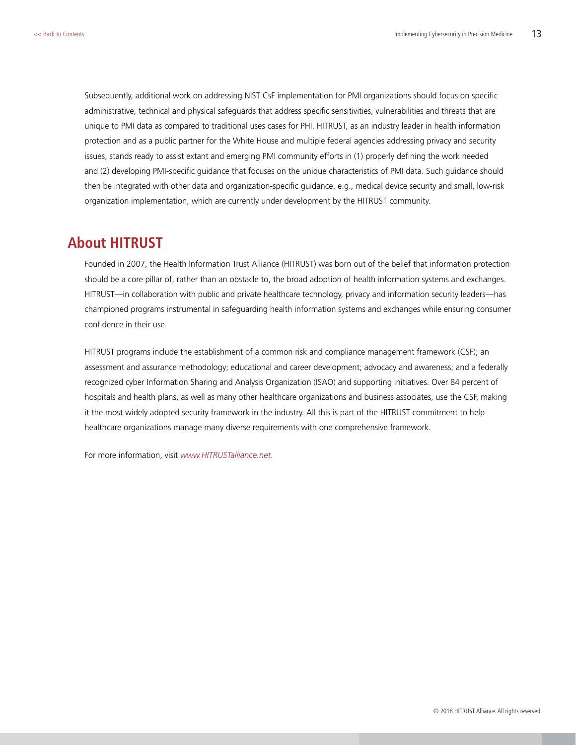<span id="page-12-0"></span>Subsequently, additional work on addressing NIST CsF implementation for PMI organizations should focus on specific administrative, technical and physical safeguards that address specific sensitivities, vulnerabilities and threats that are unique to PMI data as compared to traditional uses cases for PHI. HITRUST, as an industry leader in health information protection and as a public partner for the White House and multiple federal agencies addressing privacy and security issues, stands ready to assist extant and emerging PMI community efforts in (1) properly defining the work needed and (2) developing PMI-specific guidance that focuses on the unique characteristics of PMI data. Such guidance should then be integrated with other data and organization-specific guidance, e.g., medical device security and small, low-risk organization implementation, which are currently under development by the HITRUST community.

#### **About HITRUST**

Founded in 2007, the Health Information Trust Alliance (HITRUST) was born out of the belief that information protection should be a core pillar of, rather than an obstacle to, the broad adoption of health information systems and exchanges. HITRUST—in collaboration with public and private healthcare technology, privacy and information security leaders—has championed programs instrumental in safeguarding health information systems and exchanges while ensuring consumer confidence in their use.

HITRUST programs include the establishment of a common risk and compliance management framework (CSF); an assessment and assurance methodology; educational and career development; advocacy and awareness; and a federally recognized cyber Information Sharing and Analysis Organization (ISAO) and supporting initiatives. Over 84 percent of hospitals and health plans, as well as many other healthcare organizations and business associates, use the CSF, making it the most widely adopted security framework in the industry. All this is part of the HITRUST commitment to help healthcare organizations manage many diverse requirements with one comprehensive framework.

For more information, visit *www.HITRUSTalliance.net*.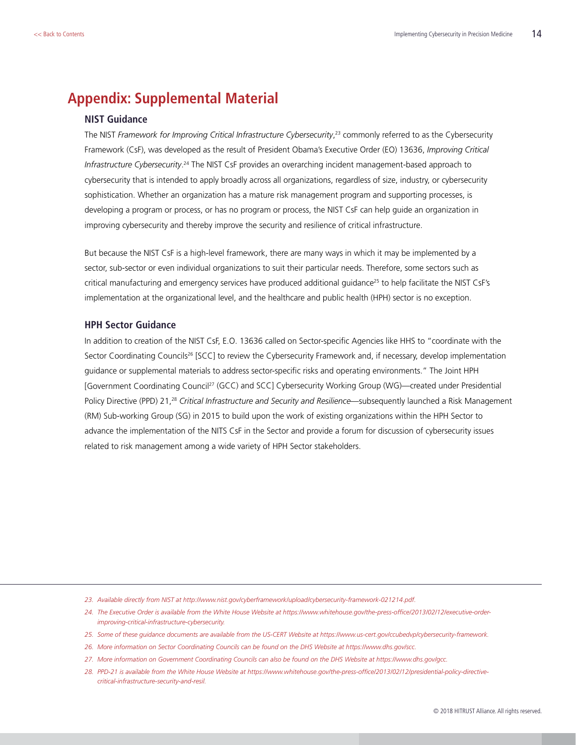## <span id="page-13-0"></span>**Appendix: Supplemental Material**

#### **NIST Guidance**

The NIST *Framework for Improving Critical Infrastructure Cybersecurity*, 23 commonly referred to as the Cybersecurity Framework (CsF), was developed as the result of President Obama's Executive Order (EO) 13636, *Improving Critical*  Infrastructure Cybersecurity.<sup>24</sup> The NIST CsF provides an overarching incident management-based approach to cybersecurity that is intended to apply broadly across all organizations, regardless of size, industry, or cybersecurity sophistication. Whether an organization has a mature risk management program and supporting processes, is developing a program or process, or has no program or process, the NIST CsF can help guide an organization in improving cybersecurity and thereby improve the security and resilience of critical infrastructure.

But because the NIST CsF is a high-level framework, there are many ways in which it may be implemented by a sector, sub-sector or even individual organizations to suit their particular needs. Therefore, some sectors such as critical manufacturing and emergency services have produced additional guidance<sup>25</sup> to help facilitate the NIST CsF's implementation at the organizational level, and the healthcare and public health (HPH) sector is no exception.

#### **HPH Sector Guidance**

In addition to creation of the NIST CsF, E.O. 13636 called on Sector-specific Agencies like HHS to "coordinate with the Sector Coordinating Councils<sup>26</sup> [SCC] to review the Cybersecurity Framework and, if necessary, develop implementation guidance or supplemental materials to address sector-specific risks and operating environments." The Joint HPH [Government Coordinating Council27 (GCC) and SCC] Cybersecurity Working Group (WG)—created under Presidential Policy Directive (PPD) 21,28 *Critical Infrastructure and Security and Resilience*—subsequently launched a Risk Management (RM) Sub-working Group (SG) in 2015 to build upon the work of existing organizations within the HPH Sector to advance the implementation of the NITS CsF in the Sector and provide a forum for discussion of cybersecurity issues related to risk management among a wide variety of HPH Sector stakeholders.

- *23. Available directly from NIST at <http://www.nist.gov/cyberframework/upload/cybersecurity-framework-021214.pdf>.*
- 24. The Executive Order is available from the White House Website at [https://www.whitehouse.gov/the-press-office/2013/02/12/executive-order](https://www.whitehouse.gov/the-press-office/2013/02/12/executive-order-improving-critical-infrastructure-cybersecurity)*[improving-critical-infrastructure-cybersecurity](https://www.whitehouse.gov/the-press-office/2013/02/12/executive-order-improving-critical-infrastructure-cybersecurity).*
- *25. Some of these guidance documents are available from the US-CERT Website at<https://www.us-cert.gov/ccubedvp/cybersecurity-framework>.*
- *26. More information on Sector Coordinating Councils can be found on the DHS Website at [https://www.dhs.gov/scc.](https://www.dhs.gov/scc)*
- *27. More information on Government Coordinating Councils can also be found on the DHS Website at<https://www.dhs.gov/gcc>.*
- *28. PPD-21 is available from the White House Website at [https://www.whitehouse.gov/the-press-office/2013/02/12/presidential-policy-directive](https://www.whitehouse.gov/the-press-office/2013/02/12/presidential-policy-directive-critical-infrastructure-security-and-resil)[critical-infrastructure-security-and-resil](https://www.whitehouse.gov/the-press-office/2013/02/12/presidential-policy-directive-critical-infrastructure-security-and-resil).*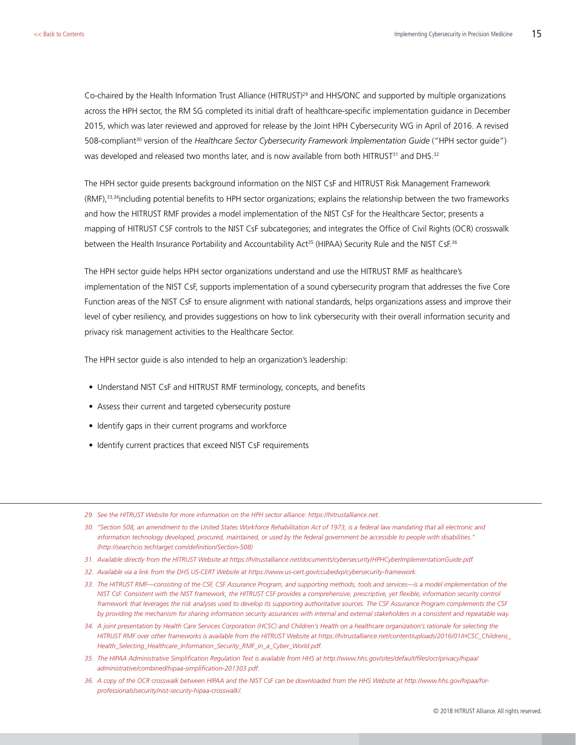Co-chaired by the Health Information Trust Alliance (HITRUST)<sup>29</sup> and HHS/ONC and supported by multiple organizations across the HPH sector, the RM SG completed its initial draft of healthcare-specific implementation guidance in December 2015, which was later reviewed and approved for release by the Joint HPH Cybersecurity WG in April of 2016. A revised 508-compliant30 version of the *Healthcare Sector Cybersecurity Framework Implementation Guide* ("HPH sector guide") was developed and released two months later, and is now available from both HITRUST<sup>31</sup> and DHS.<sup>32</sup>

The HPH sector guide presents background information on the NIST CsF and HITRUST Risk Management Framework (RMF),33,34including potential benefits to HPH sector organizations; explains the relationship between the two frameworks and how the HITRUST RMF provides a model implementation of the NIST CsF for the Healthcare Sector; presents a mapping of HITRUST CSF controls to the NIST CsF subcategories; and integrates the Office of Civil Rights (OCR) crosswalk between the Health Insurance Portability and Accountability Act<sup>35</sup> (HIPAA) Security Rule and the NIST CsF.<sup>36</sup>

The HPH sector guide helps HPH sector organizations understand and use the HITRUST RMF as healthcare's implementation of the NIST CsF, supports implementation of a sound cybersecurity program that addresses the five Core Function areas of the NIST CsF to ensure alignment with national standards, helps organizations assess and improve their level of cyber resiliency, and provides suggestions on how to link cybersecurity with their overall information security and privacy risk management activities to the Healthcare Sector.

The HPH sector guide is also intended to help an organization's leadership:

- Understand NIST CsF and HITRUST RMF terminology, concepts, and benefits
- Assess their current and targeted cybersecurity posture
- Identify gaps in their current programs and workforce
- Identify current practices that exceed NIST CsF requirements
- *29. See the HITRUST Website for more information on the HPH sector alliance: [https://hitrustalliance.net.](https://hitrustalliance.net)*
- *30. "Section 508, an amendment to the United States Workforce Rehabilitation Act of 1973, is a federal law mandating that all electronic and information technology developed, procured, maintained, or used by the federal government be accessible to people with disabilities." [\(http://searchcio.techtarget.com/definition/Section-508\)](http://searchcio.techtarget.com/definition/Section-508)*
- *31. Available directly from the HITRUST Website at [https://hitrustalliance.net/documents/cybersecurity/HPHCyberImplementationGuide.pdf.](https://hitrustalliance.net/documents/cybersecurity/HPHCyberImplementationGuide.pdf)*
- *32. Available via a link from the DHS US-CERT Website at [https://www.us-cert.gov/ccubedvp/cybersecurity-framework.](https://www.us-cert.gov/ccubedvp/cybersecurity-framework)*
- *33. The HITRUST RMF—consisting of the CSF, CSF Assurance Program, and supporting methods, tools and services—is a model implementation of the NIST CsF. Consistent with the NIST framework, the HITRUST CSF provides a comprehensive, prescriptive, yet flexible, information security control framework that leverages the risk analyses used to develop its supporting authoritative sources. The CSF Assurance Program complements the CSF by providing the mechanism for sharing information security assurances with internal and external stakeholders in a consistent and repeatable way.*
- *34. A joint presentation by Health Care Services Corporation (HCSC) and Children's Health on a healthcare organization's rationale for selecting the HITRUST RMF over other frameworks is available from the HITRUST Website at [https://hitrustalliance.net/content/uploads/2016/01/HCSC\\_Childrens\\_](https://hitrustalliance.net/content/uploads/2016/01/HCSC_Childrens_Health_Selecting_Healthcare_Information_Security_RMF_in_a_Cyber_World.pdf) [Health\\_Selecting\\_Healthcare\\_Information\\_Security\\_RMF\\_in\\_a\\_Cyber\\_World.pdf.](https://hitrustalliance.net/content/uploads/2016/01/HCSC_Childrens_Health_Selecting_Healthcare_Information_Security_RMF_in_a_Cyber_World.pdf)*
- *35. The HIPAA Administrative Simplification Regulation Text is available from HHS at [http://www.hhs.gov/sites/default/files/ocr/privacy/hipaa/](http://www.hhs.gov/sites/default/files/ocr/privacy/hipaa/administrative/combined/hipaa-simplification-201303.pdf) [administrative/combined/hipaa-simplification-201303.pdf](http://www.hhs.gov/sites/default/files/ocr/privacy/hipaa/administrative/combined/hipaa-simplification-201303.pdf).*
- 36. A copy of the OCR crosswalk between HIPAA and the NIST CsF can be downloaded from the HHS Website at [http://www.hhs.gov/hipaa/for](http://www.hhs.gov/hipaa/for-professionals/security/nist-security-hipaa-crosswalk/)*[professionals/security/nist-security-hipaa-crosswalk/.](http://www.hhs.gov/hipaa/for-professionals/security/nist-security-hipaa-crosswalk/)*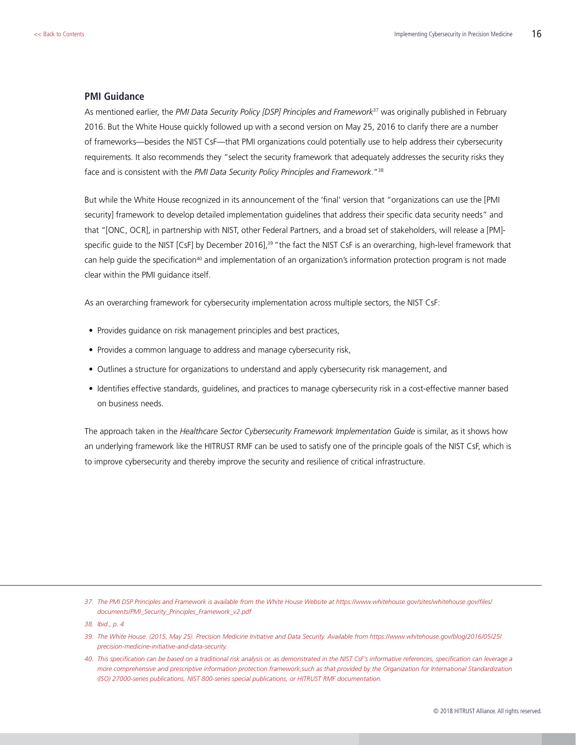#### <span id="page-15-0"></span>**PMI Guidance**

As mentioned earlier, the *PMI Data Security Policy [DSP] Principles and Framework*37 was originally published in February 2016. But the White House quickly followed up with a second version on May 25, 2016 to clarify there are a number of frameworks—besides the NIST CsF—that PMI organizations could potentially use to help address their cybersecurity requirements. It also recommends they "select the security framework that adequately addresses the security risks they face and is consistent with the *PMI Data Security Policy Principles and Framework*."38

But while the White House recognized in its announcement of the 'final' version that "organizations can use the [PMI security] framework to develop detailed implementation guidelines that address their specific data security needs" and that "[ONC, OCR], in partnership with NIST, other Federal Partners, and a broad set of stakeholders, will release a [PM] specific guide to the NIST [CsF] by December 2016],<sup>39</sup> "the fact the NIST CsF is an overarching, high-level framework that can help quide the specification<sup>40</sup> and implementation of an organization's information protection program is not made clear within the PMI guidance itself.

As an overarching framework for cybersecurity implementation across multiple sectors, the NIST CsF:

- Provides guidance on risk management principles and best practices,
- Provides a common language to address and manage cybersecurity risk,
- Outlines a structure for organizations to understand and apply cybersecurity risk management, and
- Identifies effective standards, guidelines, and practices to manage cybersecurity risk in a cost-effective manner based on business needs.

The approach taken in the *Healthcare Sector Cybersecurity Framework Implementation Guide* is similar, as it shows how an underlying framework like the HITRUST RMF can be used to satisfy one of the principle goals of the NIST CsF, which is to improve cybersecurity and thereby improve the security and resilience of critical infrastructure.

*37. The PMI DSP Principles and Framework is available from the White House Website at [https://www.whitehouse.gov/sites/whitehouse.gov/files/](https://www.whitehouse.gov/sites/whitehouse.gov/files/documents/PMI_Security_Principles_Framework_v2.pdf) [documents/PMI\\_Security\\_Principles\\_Framework\\_v2.pdf](https://www.whitehouse.gov/sites/whitehouse.gov/files/documents/PMI_Security_Principles_Framework_v2.pdf)* 

*38. Ibid., p. 4*

- *39. The White House. (2015, May 25). Precision Medicine Initiative and Data Security. Available from [https://www.whitehouse.gov/blog/2016/05/25/](https://www.whitehouse.gov/blog/2016/05/25/precision-medicine-initiative-and-data-security) [precision-medicine-initiative-and-data-security.](https://www.whitehouse.gov/blog/2016/05/25/precision-medicine-initiative-and-data-security)*
- *40. This specification can be based on a traditional risk analysis or, as demonstrated in the NIST CsF's informative references, specification can leverage a more comprehensive and prescriptive information protection framework,such as that provided by the Organization for International Standardization (ISO) 27000-series publications, NIST 800-series special publications, or HITRUST RMF documentation.*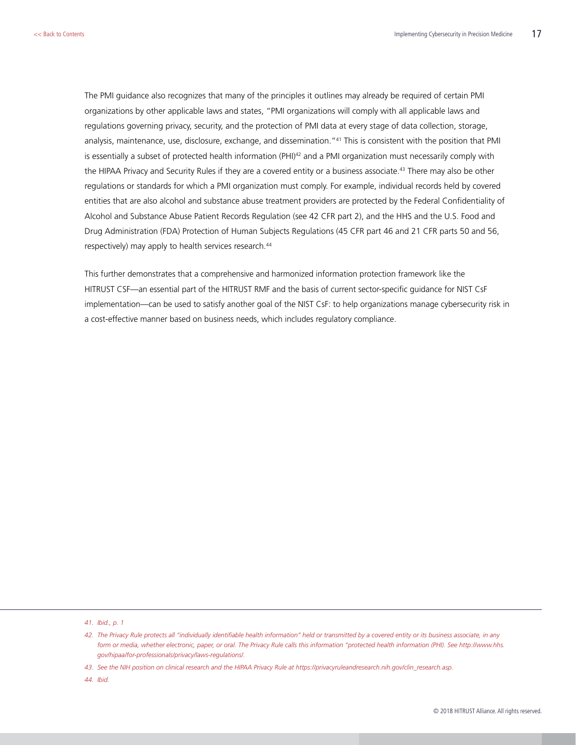The PMI guidance also recognizes that many of the principles it outlines may already be required of certain PMI organizations by other applicable laws and states, "PMI organizations will comply with all applicable laws and regulations governing privacy, security, and the protection of PMI data at every stage of data collection, storage, analysis, maintenance, use, disclosure, exchange, and dissemination."41 This is consistent with the position that PMI is essentially a subset of protected health information (PHI)<sup>42</sup> and a PMI organization must necessarily comply with the HIPAA Privacy and Security Rules if they are a covered entity or a business associate.<sup>43</sup> There may also be other regulations or standards for which a PMI organization must comply. For example, individual records held by covered entities that are also alcohol and substance abuse treatment providers are protected by the Federal Confidentiality of Alcohol and Substance Abuse Patient Records Regulation (see 42 CFR part 2), and the HHS and the U.S. Food and Drug Administration (FDA) Protection of Human Subjects Regulations (45 CFR part 46 and 21 CFR parts 50 and 56, respectively) may apply to health services research.<sup>44</sup>

This further demonstrates that a comprehensive and harmonized information protection framework like the HITRUST CSF—an essential part of the HITRUST RMF and the basis of current sector-specific guidance for NIST CsF implementation—can be used to satisfy another goal of the NIST CsF: to help organizations manage cybersecurity risk in a cost-effective manner based on business needs, which includes regulatory compliance.

*41. Ibid., p. 1*

*43. See the NIH position on clinical research and the HIPAA Privacy Rule at https://privacyruleandresearch.nih.gov/clin\_research.asp.* 

*44. Ibid.*

*<sup>42.</sup> The Privacy Rule protects all "individually identifiable health information" held or transmitted by a covered entity or its business associate, in any form or media, whether electronic, paper, or oral. The Privacy Rule calls this information "protected health information (PHI). See [http://www.hhs.](http://www.hhs.gov/hipaa/for-professionals/privacy/laws-regulations/) [gov/hipaa/for-professionals/privacy/laws-regulations/.](http://www.hhs.gov/hipaa/for-professionals/privacy/laws-regulations/)*